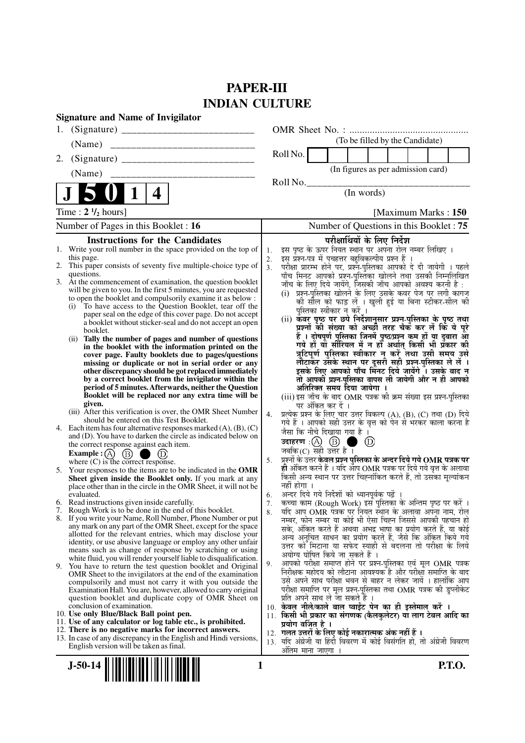## **PAPER-III INDIAN CULTURE**

| <b>Signature and Name of Invigilator</b>                                                                                       |                                                                                                                                                  |
|--------------------------------------------------------------------------------------------------------------------------------|--------------------------------------------------------------------------------------------------------------------------------------------------|
| 1.                                                                                                                             |                                                                                                                                                  |
|                                                                                                                                | (To be filled by the Candidate)                                                                                                                  |
| 2.                                                                                                                             | Roll No.                                                                                                                                         |
| (Name)                                                                                                                         | (In figures as per admission card)                                                                                                               |
|                                                                                                                                | Roll No.                                                                                                                                         |
| $\overline{\mathbf{4}}$<br>$\mathbf 1$                                                                                         | (In words)                                                                                                                                       |
| Time : $2 \frac{1}{2}$ hours]                                                                                                  | [Maximum Marks: 150]                                                                                                                             |
| Number of Pages in this Booklet : 16                                                                                           | Number of Questions in this Booklet: 75                                                                                                          |
| <b>Instructions for the Candidates</b>                                                                                         | परीक्षार्थियों के लिए निर्देश                                                                                                                    |
| 1. Write your roll number in the space provided on the top of                                                                  | इस पृष्ठ के ऊपर नियत स्थान पर अपना रोल नम्बर लिखिए ।<br>1.                                                                                       |
| this page.<br>2. This paper consists of seventy five multiple-choice type of                                                   | इस प्रश्न-पत्र में पचहत्तर बहुविकल्पीय प्रश्न हैं<br>2.<br>परीक्षा प्रारम्भ होने पर, प्रश्नॅ-पुस्तिका आपको दे दी जायेगी । पहले<br>3 <sub>1</sub> |
| questions.                                                                                                                     | पाँच मिनट आपको प्रश्न-पुस्तिका खोलने तथा उसकी निम्नलिखित                                                                                         |
| 3. At the commencement of examination, the question booklet<br>will be given to you. In the first 5 minutes, you are requested | जाँच के लिए दिये जायेंगे, जिसकी जाँच आपको अवश्य करनी है :                                                                                        |
| to open the booklet and compulsorily examine it as below :                                                                     | (i) प्रश्न-पुस्तिका खोलने के लिए उसके कवर पेज पर लगी कागज<br>की सील को फाड़ लें । खुली हुई या बिना स्टीकर-सील की                                 |
| To have access to the Question Booklet, tear off the<br>(i)                                                                    | पुस्तिका स्वीकार न करें ।                                                                                                                        |
| paper seal on the edge of this cover page. Do not accept<br>a booklet without sticker-seal and do not accept an open           | (ii) कवर पृष्ठ पर छपे निर्देशानुसार प्रश्न-पुस्तिका के पृष्ठ तथा                                                                                 |
| booklet.                                                                                                                       | प्रश्नों की संख्या को अच्छों तरह चैक कर लें कि ये पूरे<br>हैं । दोषपूर्ण पुस्तिका जि़नमें पृष्ठ/प्रश्न कम हों या दुबारा आ                        |
| Tally the number of pages and number of questions<br>(ii)<br>in the booklet with the information printed on the                | गये हों यो सीरियल में न हों अर्थात् किसी भी प्रॅकार की                                                                                           |
| cover page. Faulty booklets due to pages/questions                                                                             | त्रुटिपूर्ण पुस्तिका स्वीकार न करें तथा उसी समय उसे                                                                                              |
| missing or duplicate or not in serial order or any                                                                             | लौटाकेर उसके स्थान पर दूसरी सही प्रश्न्-पुस्तिका ले लें ।<br>इसके लिए आपको पाँच मिनट दिये जायेंगे ँ। उसके बाद न                                  |
| other discrepancy should be got replaced immediately<br>by a correct booklet from the invigilator within the                   | तो आपकी प्रश्न-पुस्तिका वापस ली जायेगी और न ही आपको                                                                                              |
| period of 5 minutes. Afterwards, neither the Question                                                                          | अतिरिक्त समय दिया जायेगा ।                                                                                                                       |
| Booklet will be replaced nor any extra time will be<br>given.                                                                  | (iii) इस जाँच के बाद OMR पत्रक की क्रम संख्या इस प्रश्न-पुस्तिका                                                                                 |
| (iii) After this verification is over, the OMR Sheet Number                                                                    | पर अंकित कर दें ।<br>प्रत्येक प्रश्न के लिए चार उत्तर विकल्प (A), (B), (C) तथा (D) दिये<br>4.                                                    |
| should be entered on this Test Booklet.<br>Each item has four alternative responses marked $(A)$ , $(B)$ , $(C)$<br>4.         | गये हैं । आपको सही उत्तर के वृत्त को पेन से भरकर काला करना है                                                                                    |
| and (D). You have to darken the circle as indicated below on                                                                   | जैसा कि नीचे दिखाया गया है।                                                                                                                      |
| the correct response against each item.                                                                                        | $\circledcirc$<br>a an<br>जबकि(C) सही उत्तर है ।                                                                                                 |
| Example : $(A)$<br>$\circled{B}$<br>where $(C)$ is the correct response.                                                       | प्रश्नों के उत्तर केवल प्रश्न पुस्तिका के अन्दर दिये गये OMR पत्रक पर<br>5.                                                                      |
| 5. Your responses to the items are to be indicated in the OMR                                                                  | ही अंकित करने हैं । यदि आप OMR पत्रक पर दिये गये वृत्त के अलावा                                                                                  |
| Sheet given inside the Booklet only. If you mark at any                                                                        | किसी अन्य स्थान पर उत्तर चिह्नांकित करते हैं, तो उसका मूल्यांकन<br>नहीं होगा ।                                                                   |
| place other than in the circle in the OMR Sheet, it will not be<br>evaluated.                                                  | अन्दर दिये गये निर्देशों को ध्यानपूर्वक पढ़ें ।<br>6.                                                                                            |
| 6. Read instructions given inside carefully.                                                                                   | कच्चा काम (Rough Work) इस पुस्तिका के अन्तिम पृष्ठ पर करें ।<br>7.                                                                               |
| 7. Rough Work is to be done in the end of this booklet.<br>8. If you write your Name, Roll Number, Phone Number or put         | र्याद आप OMR पत्रक पर नियत स्थान के अलावा अपना नाम, रोल<br>8.                                                                                    |
| any mark on any part of the OMR Sheet, except for the space                                                                    | नम्बर, फोन नम्बर या कोई भी ऐसा चिह्न जिससे आपकी पहचान हो<br>सके, अंकित करते हैं अथवा अभद्र भाषा का प्रयोग करते हैं, या कोई                       |
| allotted for the relevant entries, which may disclose your                                                                     | अन्य अनुचित साधन का प्रयोग करते हैं, जैसे कि अंकित किये गये                                                                                      |
| identity, or use abusive language or employ any other unfair<br>means such as change of response by scratching or using        | उत्तर को मिटाना या सफेद स्याही से बदलना तो परीक्षा के लिये                                                                                       |
| white fluid, you will render yourself liable to disqualification.                                                              | अयोग्य घोषित किये जा सकते हैं ।<br>आपको परीक्षा समाप्त होने पर प्रश्न-पुस्तिका एवं मूल OMR पत्रक                                                 |
| 9.<br>You have to return the test question booklet and Original<br>OMR Sheet to the invigilators at the end of the examination | 9.<br>निरीक्षक महोदय को लौटाना आवश्यक है और परीक्षा समाप्ति के बाद                                                                               |
| compulsorily and must not carry it with you outside the                                                                        | उसे अपने साथ परीक्षा भवन से बाहर न लेकर जायें । हालांकि आप                                                                                       |
| Examination Hall. You are, however, allowed to carry original                                                                  | परीक्षा समाप्ति पर मूल प्रश्न-पुस्तिका तथा OMR पत्रक की डुप्लीकेट                                                                                |
| question booklet and duplicate copy of OMR Sheet on<br>conclusion of examination.                                              | प्रति अपने साथ ले जा सकते हैं ।<br>10. केवल नीले/काले बाल प्वाईंट पेन का ही इस्तेमाल करें ।                                                      |
| 10. Use only Blue/Black Ball point pen.                                                                                        | 11. किसी भी प्रकार का संगणक (कैलकुलेटर) या लाग टेबल आदि का                                                                                       |
| 11. Use of any calculator or log table etc., is prohibited.<br>12. There is no negative marks for incorrect answers.           | प्रयोग वर्जित है ।                                                                                                                               |
| 13. In case of any discrepancy in the English and Hindi versions,                                                              | 12. गलत उत्तरों के लिए कोई नकारात्मक अंक नहीं हैं ।<br>13. यदि अंग्रेजी या हिंदी विवरण में कोई विसंगति हो, तो अंग्रेजी विवरण                     |
| English version will be taken as final.                                                                                        | अंतिम माना जाएगा ।                                                                                                                               |
|                                                                                                                                |                                                                                                                                                  |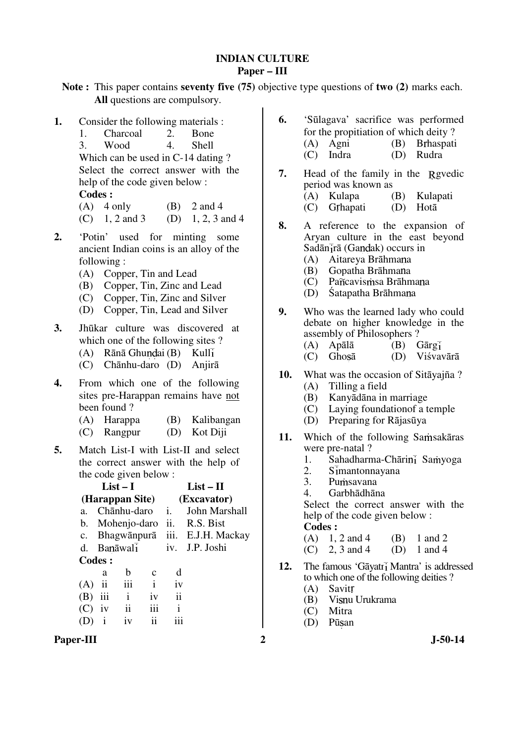### **INDIAN CULTURE Paper – III**

**Note :** This paper contains **seventy five (75)** objective type questions of **two (2)** marks each. **All** questions are compulsory.

**1.** Consider the following materials :<br> **1.** Charcoal 2. Bone 1. Charcoal 2. Bone 3. Wood 4. Shell Which can be used in C-14 dating ?

 Select the correct answer with the help of the code given below :

### **Codes :**

| $(A)$ 4 only   | $(B)$ 2 and 4     |
|----------------|-------------------|
| (C) 1, 2 and 3 | (D) 1, 2, 3 and 4 |

- **2.** 'Potin' used for minting some ancient Indian coins is an alloy of the following :
	- (A) Copper, Tin and Lead
	- (B) Copper, Tin, Zinc and Lead
	- (C) Copper, Tin, Zinc and Silver
	- (D) Copper, Tin, Lead and Silver
- **3.** Jhūkar culture was discovered at which one of the following sites ?
	- $(A)$  Rānā Ghundai (B) Kull $\overline{I}$
	- (C) Chānhu-daro (D) Anjirā
- **4.** From which one of the following sites pre-Harappan remains have not been found ?
	- (A) Harappa (B) Kalibangan
	- (C) Rangpur (D) Kot Diji
- **5.** Match List-I with List-II and select the correct answer with the help of the code given below :

|             |                           | $List-I$                    |              |                          | $List - II$                    |  |
|-------------|---------------------------|-----------------------------|--------------|--------------------------|--------------------------------|--|
|             |                           | (Harappan Site)             |              | (Excavator)              |                                |  |
| a.          |                           | Chānhu-daro                 |              | i.                       | John Marshall                  |  |
|             |                           | b. Mohenjo-daro             |              | ii.                      | R.S. Bist                      |  |
| $c_{\cdot}$ |                           |                             |              |                          | Bhagwānpurā iii. E.J.H. Mackay |  |
|             |                           | $d.$ Banāwal $\overline{i}$ |              |                          | iv. J.P. Joshi                 |  |
|             | <b>Codes:</b>             |                             |              |                          |                                |  |
|             | a                         | h                           | c            | d                        |                                |  |
| (A)         | $\overline{\mathbf{u}}$   | iii                         | $\mathbf{i}$ | iv                       |                                |  |
| (B)         | $\overline{\mathbf{iii}}$ | $\mathbf{i}$                | iv           | $\overline{\mathbf{ii}}$ |                                |  |
| (C)         | $\dot{1}v$                | $\overline{\mathbf{u}}$     | iii          | i                        |                                |  |
|             | $\mathbf{1}$              | iv                          | ij           |                          |                                |  |
|             |                           |                             |              |                          |                                |  |

**6.** 'Sūlagava' sacrifice was performed for the propitiation of which deity ? (A) Agni (B) Brhaspati<br>
(C) Indra (D) Rudra (D) Rudra

- **7.** Head of the family in the Revedic period was known as (A) Kulapa (B) Kulapati (C) Grhapati
- **8.** A reference to the expansion of Aryan culture in the east beyond  $S$ adān $\overline{i}$ rā (Gandak) occurs in
	- (A) Aitareya Brāhmana (B) Gopatha Brāhmana
	- $(C)$  Pa $\tilde{n}$ cavismsa Brāhmana
	- (D) Śatapatha Brāhmana
- **9.** Who was the learned lady who could debate on higher knowledge in the assembly of Philosophers ?
	- (A) Apālā (B) Gārgī<br>(C) Ghosā (D) Viśvav
	- $(D)$  Viśvavārā
- **10.** What was the occasion of Sitāyajña ?
	- (A) Tilling a field
	- (B) Kanyādāna in marriage
	- (C) Laying foundationof a temple
	- (D) Preparing for Rājasūya
- 11. Which of the following Samsakāras were pre-natal?<br>1. Sahadharm
	- 1. Sahadharma-Chārin $\overline{1}$  Samyoga<br>2. Simantonnavana
	- 2.  $S_{\text{Im}atonnayana}$ <br>3 Pumsayana
	- Pumsayana
	- 4. Garbhādhāna

 Select the correct answer with the help of the code given below : **Codes :** 

- (A)  $1, 2$  and  $4$  (B)  $1$  and  $2$
- (C) 2, 3 and 4 (D) 1 and 4
- **12.** The famous 'Gāyatr<sub>i</sub> Mantra' is addressed to which one of the following deities ?
	- (A) Savit
	- (B) Visnu Urukrama
	- (C) Mitra
	- (D) Pūsan

Paper-III 2 J-50-14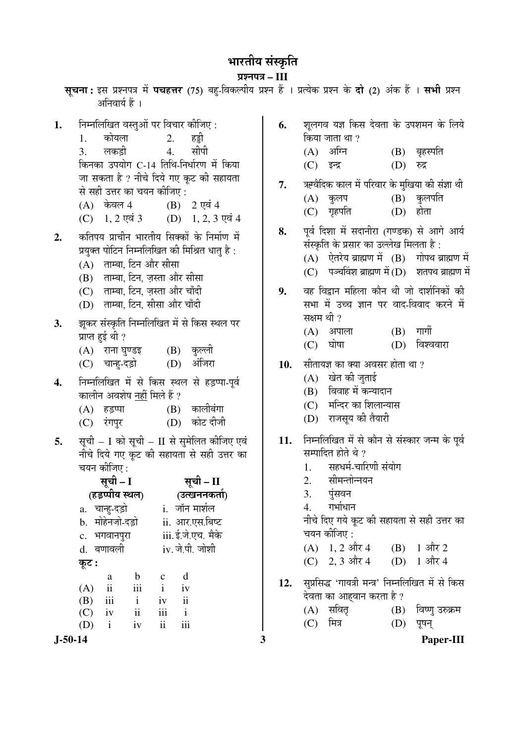# भारतीय संस्कृति

प्रश्नपत्र – III

| अनिवार्य हैं ।                                                                                                                                                                                                                                                                         | सूचना: इस प्रश्नपत्र में पचहत्तर (75) बहु-विकल्पीय प्रश्न हैं । प्रत्येक प्रश्न के दो (2) अंक हैं । सभी प्रश्न                                                                                                             |
|----------------------------------------------------------------------------------------------------------------------------------------------------------------------------------------------------------------------------------------------------------------------------------------|----------------------------------------------------------------------------------------------------------------------------------------------------------------------------------------------------------------------------|
| निम्नलिखित वस्तुओं पर विचार कीजिए :<br>1.<br>कोयला<br>2.<br>हड्डी<br>1.<br>सीपी<br>लकड़ी 4.<br>3.<br>किनका उपयोग C-14 तिथि-निर्धारण में किया                                                                                                                                           | शूलगव यज्ञ किस देवता के उपशमन के लिये<br>6.<br>किया जाता था ?<br>(A) अग्नि<br>(B) बृहस्पति<br>(C) इन्द्र<br>(D)<br>रुद्र                                                                                                   |
| जा सकता है ? नीचे दिये गए कूट की सहायता<br>से सही उत्तर का चयन कीजिए:<br>(A) केवल 4 (B) 2 एवं 4<br>(C) $1, 2$ एवं 3 (D) $1, 2, 3$ एवं 4                                                                                                                                                | ऋग्वैदिक काल में परिवार के मुखिया की संज्ञा थी<br>7.<br>$(B)$ कुलपति<br>(A) कुलप<br>गृहपति<br>होता<br>(C)<br>(D)                                                                                                           |
| कतिपय प्राचीन भारतीय सिक्कों के निर्माण में<br>2.<br>प्रयुक्त पोटिन निम्नलिखित की मिश्रित धातु है :<br>(A) ताम्बा, टिन और सीसा<br>(B) ताम्बा, टिन, ज़स्ता और सीसा                                                                                                                      | पूर्व दिशा में सदानीरा (गण्डक) से आगे आर्य<br>8.<br>संस्कृति के प्रसार का उल्लेख मिलता है:<br>$(A)$ ऐतरेय ब्राह्मण में $(B)$ गोपथ ब्राह्मण में<br>पञ्चविंश ब्राह्मण में (D) शतपथ ब्राह्मण में<br>(C)                       |
| (C) ताम्बा, टिन, ज़स्ता और चाँदी<br>(D) ताम्बा, टिन, सीसा और चाँदी<br>झूकर संस्कृति निम्नलिखित में से किस स्थल पर<br>3.                                                                                                                                                                | वह विद्वान महिला कौन थी जो दार्शनिकों की<br>9.<br>सभा में उच्च ज्ञान पर वाद-विवाद करने में<br>सक्षम थी ?                                                                                                                   |
| प्राप्त हुई थी ?<br>(A) राना घुण्डइ (B) कुल्ली                                                                                                                                                                                                                                         | $(B)$ गार्गी<br>(A) अपाला<br>घोषा<br>(D) विश्ववारा<br>(C)                                                                                                                                                                  |
| (C) चान्हु-दड़ो (D) अंजिरा<br>निम्नलिखित में से किस स्थल से हड़प्पा-पूर्व<br>4.<br>कालीन अवशेष <u>नहीं</u> मिले हैं ?<br>कालीबंगा<br>(A) हड़प्पा<br>(B)<br>कोट दीजी<br>(C) रंगपुर<br>(D)                                                                                               | सीतायज्ञ का क्या अवसर होता था ?<br>10.<br>(A) खेत की जुताई<br>विवाह में कन्यादान<br>(B)<br>(C) मन्दिर का शिलान्यास<br>(D) राजसूय की तैयारी                                                                                 |
| सूची - I को सूची - II से सुमेलित कीजिए एवं<br>5.<br>नीचे दिये गए कूट की सहायता से सही उत्तर का<br>चयन कीजिए :<br>सूची – I सूची – II<br>(हड़प्पीय स्थल)<br>(उत्खननकर्ता)<br>a. चान्हु-दड़ो<br>i. जॉन मार्शल<br>b. मोहेनजो-दड़ो<br>ii. आर.एस.बिष्ट<br>iii. ई.जे.एच. मैके<br>c. भगवानपुरा | निम्नलिखित में से कौन से संस्कार जन्म के पूर्व<br>11.<br>सम्पादित होते थे ?<br>सहधर्म-चारिणी संयोग<br>1.<br>2. सीमन्तोन्नयन<br>पुंसवन<br>3.<br>गर्भाधान<br>4.<br>नीचे दिए गये कूट की सहायता से सही उत्तर का<br>चयन कीजिए : |
| d. बणावली<br>iv. जे.पी. जोशी<br>कूट :                                                                                                                                                                                                                                                  | (A) $1, 2$ और 4 (B) $1$ और 2<br>(C) 2, 3 और 4 (D) 1 और 4                                                                                                                                                                   |
| $\mathbf b$<br>d<br>a<br>$\mathbf{c}$<br>$\rm iii$<br>$\rm ii$<br>$\mathbf{i}$<br>(A)<br>iv<br>$\mathbf{i}$<br>iv ii<br>(B)<br>iii<br>iii<br>$\mathbf{i}$<br>$\overline{\mathbf{u}}$<br>iv<br>(C)                                                                                      | सुप्रसिद्ध 'गायत्री मन्त्र' निम्नलिखित में से किस<br>12.<br>देवता का आहवान करता है ?<br>(A) सवितृ<br>(B) विष्णु उरुक्रम                                                                                                    |
| iii<br>ii<br>(D)<br>$\mathbf{i}$<br>iv<br>$J-50-14$                                                                                                                                                                                                                                    | मित्र<br>(C)<br>(D)<br>पूषन्<br>3<br>Paper-III                                                                                                                                                                             |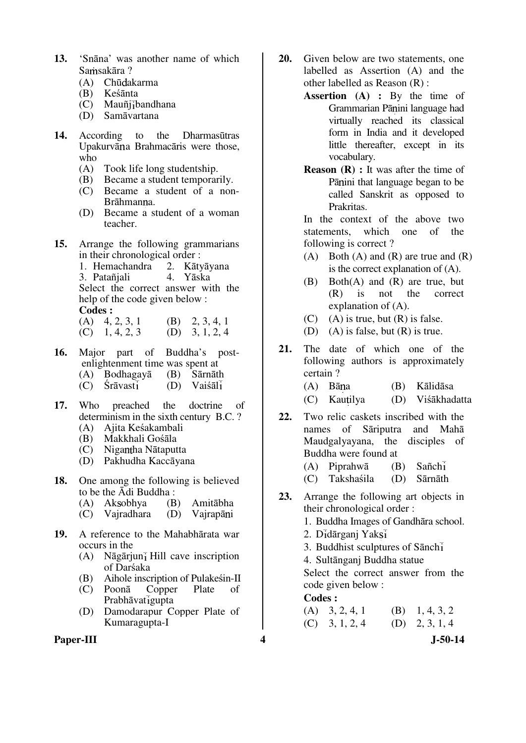- **13.** 'Snāna' was another name of which Samsakāra?
	- (A) Chūdakarma
	- (B) Keśānta
	- (C) Mauñj bandhana
	- (D) Samāvartana
- **14.** According to the Dharmasūtras Upakurvāna Brahmacāris were those, who<br> $(A)$ 
	- Took life long studentship.
	- (B) Became a student temporarily.
	- (C) Became a student of a non-Brāhmanna.
	- (D) Became a student of a woman teacher.
- **15.** Arrange the following grammarians
	- in their chronological order :<br>1. Hemachandra 2. Kātvāvana 1. Hemachandra 2. Kātyāy<br>3 Patañiali - 4 Yāska 3. Patañiali Select the correct answer with the help of the code given below :

**Codes :** 

- (A)  $4, 2, 3, 1$  (B)  $2, 3, 4, 1$ <br>(C)  $1, 4, 2, 3$  (D)  $3, 1, 2, 4$  $(C)$  1, 4, 2, 3
- **16.** Major part of Buddha's post enlightenment time was spent at<br>  $(A)$  Bodhagava (B) Sarnath (A) Bodhagayā (B) Sārnāth
	- $(C)$  Śrāvasti  $(D)$
- **17.** Who preached the doctrine of determinism in the sixth century B.C. ?
	- (A) Ajita Keśakambali
	- (B) Makkhali Gośāla
	- Nigantha Nātaputta
	- (D) Pakhudha Kaccāyana
- **18.** One among the following is believed to be the Ādi Buddha :
	- (A) Ak obhya (B) Amitābha
	- (C) Vajradhara (D) Vajrapāni
- **19.** A reference to the Mahabhārata war occurs in the
	- (A) Nāgārjun $\overline{1}$  Hill cave inscription of Darśaka
	- (B) Aihole inscription of Pulakesin-II<br>(C) Poonā Copper Plate of
	- (C) Poonā Copper Plate of  $P$ rabhāvat $\overline{q}$ gupta
	- (D) Damodarapur Copper Plate of Kumaragupta-I
- Paper-III 3-50-14
- **20.** Given below are two statements, one labelled as Assertion (A) and the other labelled as Reason (R) :
	- **Assertion (A) :** By the time of Grammarian Pānini language had virtually reached its classical form in India and it developed little thereafter, except in its vocabulary.
	- **Reason (R) :** It was after the time of Pānini that language began to be called Sanskrit as opposed to Prakritas.

 In the context of the above two statements, which one of the following is correct ?

- (A) Both (A) and (R) are true and  $(R)$ is the correct explanation of (A).
- (B) Both(A) and (R) are true, but (R) is not the correct explanation of (A).
- $(C)$  (A) is true, but  $(R)$  is false.
- (D) (A) is false, but  $(R)$  is true.
- **21.** The date of which one of the following authors is approximately certain ?
	- (A) Bāna (B) Kālidāsa
	- (C) Kautilya (D) Viśākhadatta
- **22.** Two relic caskets inscribed with the names of Sāriputra and Mahā Maudgalyayana, the disciples of Buddha were found at
	- (A) Piprahwā (B) Sañch
	- (C) Takshaśila (D) Sārnāth
- **23.** Arrange the following art objects in their chronological order :
	- 1. Buddha Images of Gandhāra school.
	- 2. Dīdārganj Yaksī
	- 3. Buddhist sculptures of Sānch
	- 4. Sultānganj Buddha statue

 Select the correct answer from the code given below :

### **Codes :**

 $(A)$  3, 2, 4, 1 (B) 1, 4, 3, 2  $(C)$  3, 1, 2, 4 (D) 2, 3, 1, 4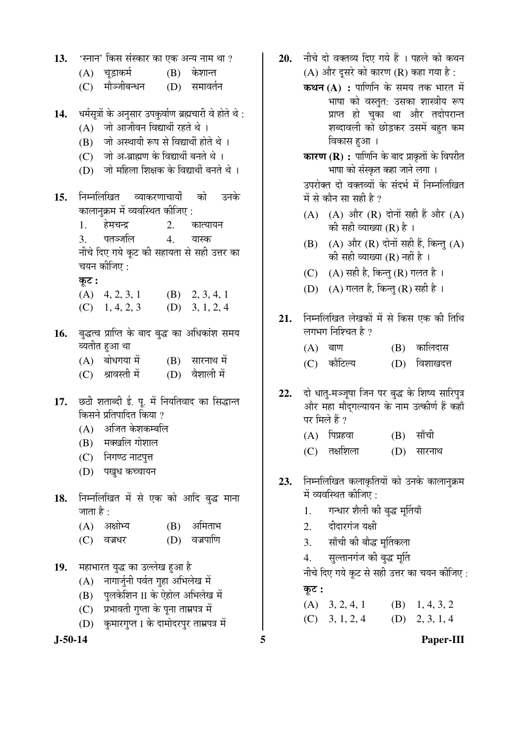13. <u>'स्नान' किस संस्कार का एक अन्य नाम था</u> ? (A) चुड़ाकर्म (B) केशान्त (C) मौञ्जीबन्धन (D) समावर्तन 14. **धर्मसूत्रों के अनुसार उपकुर्वाण ब्रह्मचा**री वे होते थे:  $(A)$  जो आजीवन विद्यार्थी रहते थे।  $(B)$  नो अस्थायी रूप से विद्यार्थी होते थे।  $(C)$  जो अ-ब्राह्मण के विद्यार्थी बनते थे। (D) जो महिला शिक्षक के विद्यार्थी बनते थे । 1**5.** निम्नलिखित व्याकरणाचार्यों को उनके कालानुक्रम में व्यवस्थित कीजिए : 1. हेमचन्द्र 2. कात्यायन 3. पतञ्जलि 4. यास्क नीचे दिए गये कूट की सहायता से सही उत्तर का चयन कीजिए : Ûæú™ü **:** (A)  $4, 2, 3, 1$  (B)  $2, 3, 4, 1$  $(C)$  1, 4, 2, 3 (D) 3, 1, 2, 4 16. बुद्धत्व प्राप्ति के बाद बुद्ध का अधिकांश समय व्यतीत हुआ था  $(A)$  बोधगया में  $(B)$  सारनाथ में (C) श्रावस्ती में (D) वैशाली में 17. छठी शताब्दी ई. पू. में नियतिवाद का सिद्धान्त <u>किसने प्रतिपादित किया ?</u>  $(A)$  अजित केशकम्बलि  $(B)$  मक्खलि गोशाल (C) निगण्ठ नाटपुत्त (D) पखुध कच्चायन 18. निम्नलिखित में से एक को आदि बुद्ध माना जाता है : (A) अक्षोभ्य (B) अमिताभ (C) वज्रधर (D) वज्रपाणि 19. Hहाभारत युद्ध का उल्लेख हुआ है  $(A)$  नागार्जुनी पर्वत गृहा अभिलेख में (B) पलकेशिन II के ऐहोल अभिलेख में (C) प्रभावती गुप्ता के पुना ताम्रपत्र में (D) कुमारगुप्त I के दामोदरपुर ताम्रपत्र में

- 20. नीचे दो वक्तव्य दिए गये हैं । पहले को कथन (A) और दुसरे को कारण (R) कहा गया है:
	- **कथन (A) :** पाणिनि के समय तक भारत में भाषा को वस्तुत: उसका शास्त्रीय रूप प्राप्त हो चुका था और तदोपरान्त शब्दावली को छोड़कर उसमें बहुत कम विकास हुआ ।
	- **कारण (R) :** पाणिनि के बाद प्राकृतों के विपरीत भाषा को संस्कृत कहा जाने लगा ।
	- उपरोक्त दो वक्तव्यों के संदर्भ में निम्नलिखित में से कौन सा सही है ?
	- (A) (A) और (R) दोनों सही हैं और (A) की सही व्याख्या  $(R)$  है।
	- $(B)$   $(A)$  और  $(R)$  दोनों सही हैं, किन्तु  $(A)$ की सही व्याख्या  $(R)$  नहीं है ।
	- (C)  $(A)$  सही है, किन्तु (R) गलत है ।
	- (D)  $(A)$  गलत है, किन्तु (R) सही है।
- 21. ਜਿਸਕਿਥਿਰ लेखकों में से किस एक की तिथि लगभग निश्चित है ?
	- $(A)$  बाण  $(B)$  कालिदास
	- (C) कौटिल्य (D) विशाखदत्त
- 22. दो धात-मञ्जूषा जिन पर बद्ध के शिष्य सारिपुत्र ओर महा मौदगल्यायन के नाम उत्कीर्ण हैं कहाँ पर मिले हैं ?
	- $(A)$  पिप्रहवा $(B)$  साँची
	- (C) तक्षशिला (D) सारनाथ
- 23. निम्नलिखित कलाकृतियों को उनके कालानुक्रम में व्यवस्थित कीजिए :
	- 1. गन्धार शैली की बुद्ध मूर्तियाँ
	- 2. दीदारगंज यक्षी
	- 3. साँची की बौद्ध मूर्तिकला
	- 4. सुल्तानगंज की बुद्ध मूर्ति

नीचे दिए गये कूट से सही उत्तर का चयन कीजिए : Ûæú™ü **:**

 $(A)$  3, 2, 4, 1 (B) 1, 4, 3, 2  $(C)$  3, 1, 2, 4 (D) 2, 3, 1, 4

**J-50-14 5 Paper-III**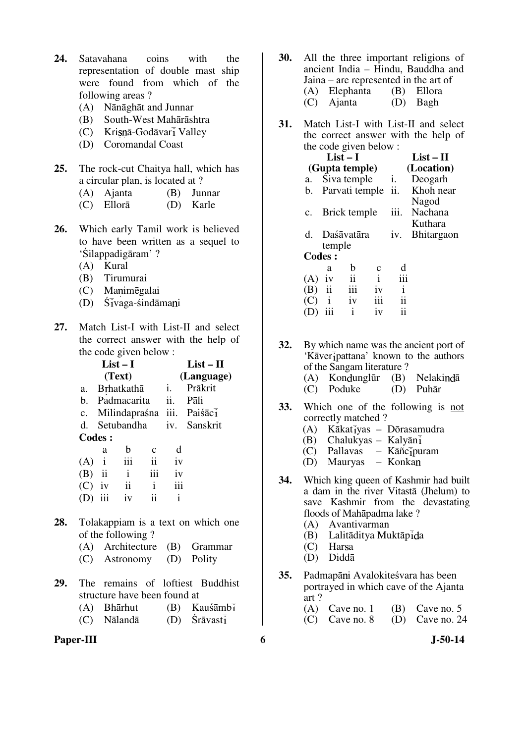- **24.** Satavahana coins with the representation of double mast ship were found from which of the following areas ?
	- (A) Nānāghāt and Junnar
	- (B) South-West Mahārāshtra
	- $(C)$  Krisnā-Godāvarī Valley
	- (D) Coromandal Coast
- **25.** The rock-cut Chaitya hall, which has a circular plan, is located at ?
	- (A) Ajanta (B) Junnar
	- (C) Ellorā (D) Karle
- **26.** Which early Tamil work is believed to have been written as a sequel to 'Śilappadigāram' ?
	- (A) Kural
	- (B) Tirumurai
	- (C) Manimēgalai
	- $(D)$  Ś $\bar{i}$ vaga-śindāmani
- **27.** Match List-I with List-II and select the correct answer with the help of the code given below :

|             |                            | $List-I$     |               |     | $List - II$                |
|-------------|----------------------------|--------------|---------------|-----|----------------------------|
|             |                            | (Text)       |               |     | (Language)                 |
| a.          |                            | Brhatkathā   |               | i.  | Prākrit                    |
| b.          | Padmacarita                |              |               | ii. | Pāli                       |
| $c_{\cdot}$ |                            |              |               |     | Milindapraśna iii. Paiśāci |
|             | d. Setubandha iv. Sanskrit |              |               |     |                            |
|             | Codes :                    |              |               |     |                            |
|             | a                          | b            | $\mathbf c$   | d   |                            |
| (A)         | $\mathbf{i}$               | iii          | $\mathbf{ii}$ | iv  |                            |
| $(B)$ ii    |                            | $\mathbf{i}$ | iii           | iv  |                            |
| $(C)$ iv    |                            | ii           | $\mathbf{i}$  | iii |                            |
|             | iii                        | iv           | ij            | i   |                            |
|             |                            |              |               |     |                            |

- **28.** Tolakappiam is a text on which one of the following ?
	- (A) Architecture (B) Grammar
	- (C) Astronomy (D) Polity
- **29.** The remains of loftiest Buddhist structure have been found at
	- $(A)$  Bhārhut  $(B)$  Kauśāmbi
	- (C) Nālandā (D) Śrāvast
- **Paper-III 6** J-50-14
- **30.** All the three important religions of ancient India – Hindu, Bauddha and Jaina – are represented in the art of<br>  $(A)$  Elephanta (B) Ellora  $(A)$  Elephanta (C) Ajanta (D) Bagh
- **31.** Match List-I with List-II and select the correct answer with the help of the code given below :

|                |               | $List-I$                       |              |              | $List-II$         |
|----------------|---------------|--------------------------------|--------------|--------------|-------------------|
|                |               | (Gupta temple)                 |              |              | (Location)        |
| a.             |               | Siva temple                    |              | i.           | Deogarh           |
|                |               | b. Parvati temple ii.          |              |              | Khoh near         |
|                |               |                                |              |              | Nagod             |
| $\mathbf{c}$ . |               | <b>Brick temple</b>            |              | iii.         | Nachana           |
|                |               |                                |              |              | Kuthara           |
| d.             |               | Daśāvatāra                     |              | iv.          | <b>Bhitargaon</b> |
|                | temple        |                                |              |              |                   |
|                | <b>Codes:</b> |                                |              |              |                   |
|                | a             | b                              | с            |              |                   |
| (A)            | 1V            | $\frac{\text{ii}}{\text{iii}}$ | $\mathbf{i}$ | iii          |                   |
|                | $(B)$ ii      |                                | iv           | $\mathbf{i}$ |                   |
| (C)            | $\mathbf{i}$  | iv                             | iii          | ii           |                   |
|                | iii           | $\mathbf{i}$                   | 1V           | 11           |                   |

**32.** By which name was the ancient port of 'Kāver i pattana' known to the authors of the Sangam literature ?<br>
(A) Kondunglūr (B) Nelakindā  $(A)$  Kondunglūr (C) Poduke (D) Puhār

- **33.** Which one of the following is not correctly matched ?
	- $(A)$  Kākatīyas Dōrasamudra
	- $(B)$  Chalukyas Kalyānī<br>  $(C)$  Pallayas Kāñcīpu
	- $Pallavas Kāñc<sub>1</sub>puram$
	- (D) Mauryas Konka
- **34.** Which king queen of Kashmir had built a dam in the river Vitastā (Jhelum) to save Kashmir from the devastating floods of Mahāpadma lake ?
	- (A) Avantivarman
	- Lalitāditya Muktāpida
	- $(C)$  Harsa
	- (D) Diddā
- **35.** Padmapāni Avalokiteśvara has been portrayed in which cave of the Ajanta art ?<br>(A) Cave no. 1
	- $(B)$  Cave no. 5
	- (C) Cave no. 8 (D) Cave no. 24
		-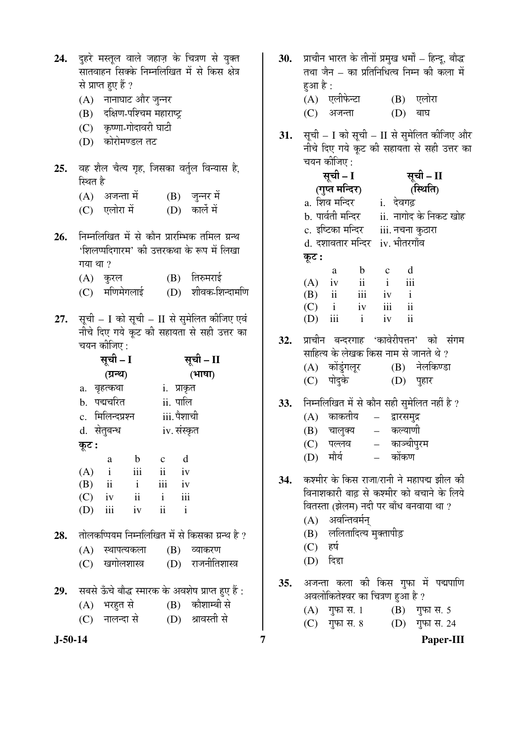| 24.       |          | से प्राप्त हुए हैं ?<br>(A)   नानाघाट और जुन्नर<br>(B) दक्षिण-पश्चिम महाराष्ट्र<br>(C) कृष्णा-गोदावरी घाटी<br>(D) कोरोमण्डल तट |             |             | दुहरे मस्तूल वाले जहाज़ के चित्रण से युक्त<br>सातवाहन सिक्के निम्नलिखित में से किस क्षेत्र                                       |  |  |
|-----------|----------|--------------------------------------------------------------------------------------------------------------------------------|-------------|-------------|----------------------------------------------------------------------------------------------------------------------------------|--|--|
| 25.       | स्थित है |                                                                                                                                |             |             | वह शैल चैत्य गृह, जिसका वर्तुल विन्यास है,                                                                                       |  |  |
|           |          | (A) अजन्ता में                                                                                                                 |             |             | (B) जुन्नर में                                                                                                                   |  |  |
|           |          | (C) एलोरा में                                                                                                                  |             |             | (D) कार्ले में                                                                                                                   |  |  |
| 26.       | गया था ? | (A) कुरल<br>(C) मणिमेगलाई                                                                                                      |             |             | निम्नलिखित में से कौन प्रारम्भिक तमिल ग्रन्थ<br>'शिलप्पदिगारम' की उत्तरकथा के रूप में लिखा<br>(B) तिरुमराई<br>(D) शीवक-शिन्दामणि |  |  |
| 27.       |          | चयन कीजिए :<br>सूची – I                                                                                                        |             |             | सूची – I को सूची – II से सुमेलित कीजिए एवं<br>नीचे दिए गये कूट की सहायता से सही उत्तर का<br>सूची – II                            |  |  |
|           |          | (ग्रन्थ)                                                                                                                       |             |             | (भाषा)                                                                                                                           |  |  |
|           |          | a. बृहत्कथा                                                                                                                    | i. प्राकृत  |             |                                                                                                                                  |  |  |
|           |          | b. पद्मचरित                                                                                                                    | ii. पालि    |             |                                                                                                                                  |  |  |
|           |          | c. मिलिन्दप्रश्न                                                                                                               |             | iii. पैशाची |                                                                                                                                  |  |  |
|           |          | d. सेतुबन्ध                                                                                                                    | iv. संस्कृत |             |                                                                                                                                  |  |  |
|           | कूट :    |                                                                                                                                |             |             |                                                                                                                                  |  |  |
|           |          | a b c d                                                                                                                        |             |             |                                                                                                                                  |  |  |
|           |          | $(A)$ i iii ii iv                                                                                                              |             |             |                                                                                                                                  |  |  |
|           |          | $(B)$ ii ii iv                                                                                                                 |             |             |                                                                                                                                  |  |  |
|           |          | $(C)$ iv ii i iii                                                                                                              |             |             |                                                                                                                                  |  |  |
|           |          | $(D)$ iii iv ii i                                                                                                              |             |             |                                                                                                                                  |  |  |
|           |          |                                                                                                                                |             |             | 28. तोलकप्पियम निम्नलिखित में से किसका ग्रन्थ है ?                                                                               |  |  |
|           |          |                                                                                                                                |             |             | (A) स्थापत्यकला (B) व्याकरण                                                                                                      |  |  |
|           |          |                                                                                                                                |             |             | (C) खगोलशास्त्र  (D) राजनीतिशास्त्र                                                                                              |  |  |
|           |          |                                                                                                                                |             |             | 29. सबसे ऊँचे बौद्ध स्मारक के अवशेष प्राप्त हुए हैं :                                                                            |  |  |
|           |          |                                                                                                                                |             |             | (A) भरहुत से (B) कौशाम्बी से                                                                                                     |  |  |
|           |          |                                                                                                                                |             |             | (C) नालन्दा से        (D) श्रावस्ती से                                                                                           |  |  |
|           |          |                                                                                                                                |             |             |                                                                                                                                  |  |  |
| $J-50-14$ |          |                                                                                                                                |             |             |                                                                                                                                  |  |  |

**J-50-14 7 Paper-III** 30. प्राचीन भारत के तीनों प्रमुख धर्मों – हिन्दु, बौद्ध तथा जैन – का प्रतिनिधित्व निम्न की कला में हआ $\n *è*$  : (A) एलीफेन्टा (B) एलोरा  $(C)$  अजन्ता  $(D)$  बाघ **31.** सूची – I को सूची – II से सुमेलित कीजिए और नीचे दिए गये कूट की सहायता से सही उत्तर का चयन कीजिए : सूची – I (गुप्त मन्दिर) सूची – II (स्थिति) a. शिव मन्दिर i. देवगढ़ b. पार्वती मन्दिर ii. नागोद के निकट खोह c. इष्टिका मन्दिर iii. नचना कुठारा d. दशावतार मन्दिर iv. भीतरगाँव कूट : a b c d  $(A)$  iv ii i iii (B) ii iii iv i  $(C)$  i iv iii ii (D) iii i iv ii 32. प्राचीन बन्दरगाह 'कावेरीपत्तन' को संगम <u>साहित्य के लेखक किस नाम से जानते थे ?</u> (A) कोंडुंगलूर (B) नेलकिण्डा (C) पोदुके (D) पहार 33. निम्नलिखित में से कौन सही सुमेलित नहीं है ? (A) काकतीय – द्वारसमुद्र (B) चालुक्य – कल्याणी (C) पल्लव – काञ्चीपुरम (D) मौर्य – कोंकण 34. कश्मीर के किस राजा/रानी ने महापद्म झील की <u>विनाशकारी बाढ से कश्मीर को बचाने के लिये</u> वितस्ता (झेलम) नदी पर बाँध बनवाया था ?  $(A)$  अवन्तिवर्मन् (B) ललितादित्य मुक्तापीड़  $(C)$  हर्ष  $(D)$  दिद्दा 35. अजन्ता कला की किस गुफा में पद्मपाणि अवलोकितेश्वर का चित्रण हुआ है ? (A)  $\overline{q}$ फा स. 1 (B) गुफा स. 5 (C) गुफा स. 8 (D) गुफा स. 24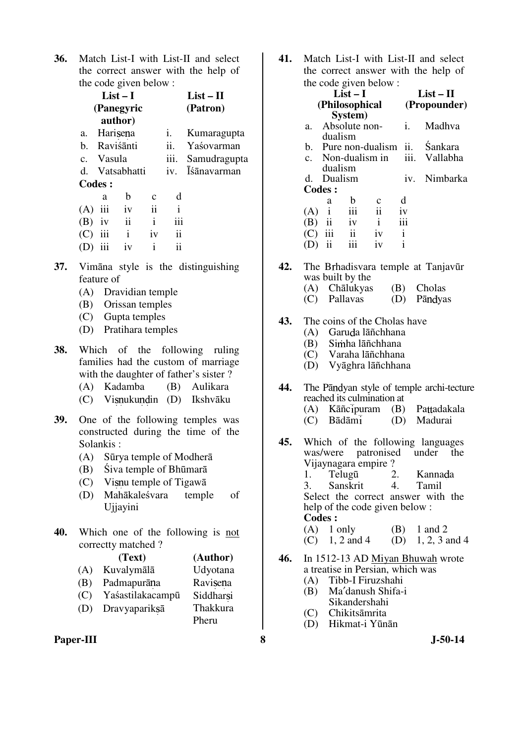**36.** Match List-I with List-II and select the correct answer with the help of the code given below :

|     |               | List $-1$      |              | $List - II$ |                    |
|-----|---------------|----------------|--------------|-------------|--------------------|
|     |               | (Panegyric     |              |             | (Patron)           |
|     |               | author)        |              |             |                    |
|     |               | a. Harisena    |              | i.          | Kumaragupta        |
|     |               | b. Raviśānti   |              | ii.         | Yaśovarman         |
|     | c. Vasula     |                |              | iii.        | Samudragupta       |
|     |               | d. Vatsabhatti |              | $iv_{-}$    | <b>Isanavarman</b> |
|     | <b>Codes:</b> |                |              |             |                    |
|     | a             | b              | $\mathbf{c}$ | d           |                    |
| (A) | iii           | iv             | $\rm ii$     | i           |                    |
| (B) | iv            | ii             | $\mathbf{i}$ | iii         |                    |
| (C) | iii           | i              | iv           | ii          |                    |

- **37.** Vimāna style is the distinguishing feature of
	- (A) Dravidian temple

(D) iii iv i ii

- (B) Orissan temples
- (C) Gupta temples
- (D) Pratihara temples
- **38.** Which of the following ruling families had the custom of marriage with the daughter of father's sister ?
	- (A) Kadamba (B) Aulikara
	- (C) Visnukundin (D) Ikshvāku
- **39.** One of the following temples was constructed during the time of the Solankis :
	- (A) Sūrya temple of Modherā
	- (B) Śiva temple of Bhūmarā
	- $(C)$  Visnu temple of Tigawa
	- (D) Mahākaleśvara temple of Ujjayini
- **40.** Which one of the following is not correctty matched ?
	- **(Text) (Author)**
	- (A) Kuvalymālā Udyotana
	- (B) Padmapurāna Ravisena
	- (C) Yaśastilakacampū Siddharsi
	- (D) Dravyapariksā Thakkura Pheru

Paper-III 8 **8** J-50-14

**41.** Match List-I with List-II and select the correct answer with the help of the code given below :

|    |                      |                         | $\frac{1}{2}$ . $\frac{1}{2}$ . $\frac{1}{2}$ . $\frac{1}{2}$ . $\frac{1}{2}$ |                        |                |
|----|----------------------|-------------------------|-------------------------------------------------------------------------------|------------------------|----------------|
|    |                      | $List-I$                |                                                                               |                        | $List-II$      |
|    |                      | (Philosophical          |                                                                               |                        | (Propounder)   |
|    |                      | System)                 |                                                                               |                        |                |
| a. |                      | Absolute non-           |                                                                               | i.                     | Madhva         |
|    | dualism              |                         |                                                                               |                        |                |
|    |                      |                         | b. Pure non-dualism ii.                                                       |                        | <b>Sankara</b> |
|    |                      |                         |                                                                               | c. Non-dualism in iii. | Vallabha       |
|    | dualism              |                         |                                                                               |                        |                |
|    | d. Dualism           |                         |                                                                               | $\mathbf{v}$ .         | Nimbarka       |
|    | <b>Codes:</b>        |                         |                                                                               |                        |                |
|    | a                    | b                       |                                                                               | d                      |                |
|    | $(A)$ i              | iii                     | $\mathbf{ii}$                                                                 | iv                     |                |
|    | $(B)$ ii             | iv                      | $\mathbf{i}$                                                                  | iii                    |                |
|    | $\overline{C}$ ) iii | $\overline{\mathbf{u}}$ | iv                                                                            | $\mathbf{i}$           |                |
|    | $\mathbf{ii}$        | iii                     | iv                                                                            | i                      |                |
|    |                      |                         |                                                                               |                        |                |

- 42. The Brhadisvara temple at Tanjavūr was built by the
	- (A) Chālukyas (B) Cholas
	- (C) Pallavas (D) Pāndvas
- **43.** The coins of the Cholas have
	- (A) Garuda lāñchhana
	- (B) Simha lāñchhana<br>(C) Varaha lāñchhana
	- Varaha lāñchhana
	- (D) Vyāghra lāñchhana
- **44.** The Pandyan style of temple archi-tecture reached its culmination at (A) Kāñcipuram (B) Pattadakala<br>(C) Bādāmi (D) Madurai
	- (D) Madurai
- **45.** Which of the following languages was/were patronised under the was/were patronised Vijaynagara empire ?<br>1. Telugū 2. 1. Telugū 2. Kannada 3. Sanskrit 4. Tamil Select the correct answer with the help of the code given below : **Codes :**  (A)  $1 \text{ only}$  (B)  $1 \text{ and } 2$ 
	- (C) 1, 2 and 4 (D) 1, 2, 3 and 4
- **46.** In 1512-13 AD Miyan Bhuwah wrote a treatise in Persian, which was (A) Tibb-I Firuzshahi
	- (B) Ma′danush Shifa-i Sikandershahi
	- (C) Chikitsāmrita
	- (D) Hikmat-i Yūnān
-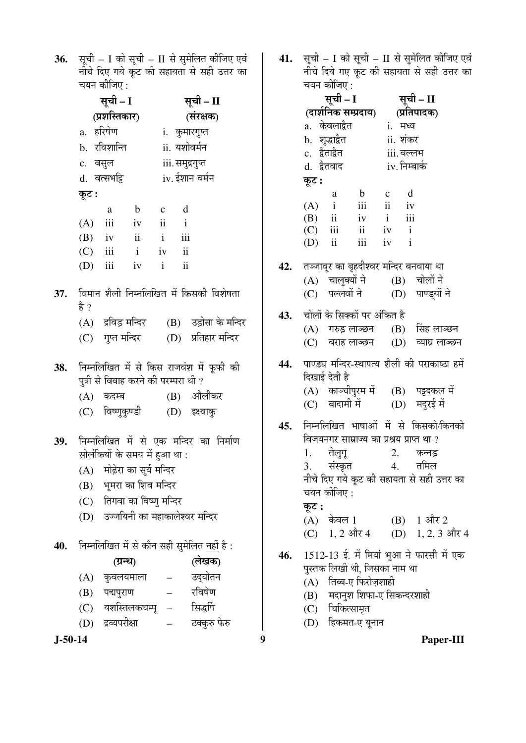**36.** सूची – I को सूची – II से सुमेलित कीजिए एवं नीचे दिए गये कूट की सहायता से सही उत्तर <mark>का</mark>  $\frac{1}{1000}$ चयन कीजिए :

|     | सूची – I      |               |                                      | सूची – II     |                         |                                                   |  |
|-----|---------------|---------------|--------------------------------------|---------------|-------------------------|---------------------------------------------------|--|
|     | (प्रशस्तिकार) |               |                                      | (संरक्षक)     |                         |                                                   |  |
|     | a. हरिषेण     |               |                                      | i. कुमारगुप्त |                         |                                                   |  |
|     |               | b. रविशान्ति  |                                      |               |                         | ii. यशोवर्मन                                      |  |
|     | c. वसुल       |               |                                      |               |                         | iii. समुद्रगुप्त                                  |  |
|     |               | d. वत्सभट्टि  |                                      |               |                         | iv. ईशान वर्मन                                    |  |
|     | कूट :         |               |                                      |               |                         |                                                   |  |
|     |               | a             | $\mathbf{b}$                         | $c$ d         |                         |                                                   |  |
|     |               |               | $(A)$ iii iv ii i                    |               |                         |                                                   |  |
|     |               |               | $(B)$ iv ii i                        |               | iii                     |                                                   |  |
|     |               |               | $(C)$ iii i iv                       |               | ii                      |                                                   |  |
|     |               |               | (D) iii iv i                         |               | $\overline{\mathbf{i}}$ |                                                   |  |
|     |               |               |                                      |               |                         | 37. विमान शैली निम्नलिखित में किसकी विशेषता       |  |
|     | है ?          |               |                                      |               |                         |                                                   |  |
|     |               |               |                                      |               |                         | (A) द्रविड़ मन्दिर (B) उड़ीसा के मन्दिर           |  |
|     |               |               | (C) गुप्त मन्दिर                     |               |                         | (D) प्रतिहार मन्दिर                               |  |
| 38. |               |               |                                      |               |                         | निम्नलिखित में से किस राजवंश में फूफी की          |  |
|     |               |               | पुत्री से विवाह करने की परम्परा थी ? |               |                         |                                                   |  |
|     |               | (A) कदम्ब     |                                      |               |                         | (B) औलीकर                                         |  |
|     |               |               | (C) विष्णुकुण्डी                     |               |                         | $(D)$ इक्ष्वाक्                                   |  |
| 39. |               |               |                                      |               |                         | निम्नलिखित में से एक मन्दिर का निर्माण            |  |
|     |               |               | सोलंकियों के समय में हुआ था :        |               |                         |                                                   |  |
|     |               |               | (A) मोढ़ेरा का सूर्य मन्दिर          |               |                         |                                                   |  |
|     |               |               | (B) भूमरा का शिव मन्दिर              |               |                         |                                                   |  |
|     |               |               | (C) तिगवा का विष्णु मन्दिर           |               |                         |                                                   |  |
|     | (D)           |               |                                      |               |                         | उज्जयिनी का महाकालेश्वर मन्दिर                    |  |
| 40. |               |               |                                      |               |                         | निम्नलिखित में से कौन सही सुमेलित <u>नहीं</u> है: |  |
|     |               |               | (ग्रन्थ)                             |               |                         | (लेखक)                                            |  |
|     | (A)           |               | कुवलयमाला                            |               |                         | उद्योतन                                           |  |
|     | (B)           | पद्मपुराण     |                                      |               |                         | रविषेण                                            |  |
|     |               |               | (C) यशस्तिलकचम्पू                    |               |                         | सिद्धर्षि                                         |  |
|     | (D)           | द्रव्यपरीक्षा |                                      |               |                         | ठक्कुरु फेरु                                      |  |

**41.** सूची – I को सूची – II से सुमेलित कीजिए एवं नीचे दिये गए कूट की सहायता से सही उत्तर क<mark>ा</mark>

|     |       | चयन कीजिए :    |                                                                                     |           |               |                                                      |  |
|-----|-------|----------------|-------------------------------------------------------------------------------------|-----------|---------------|------------------------------------------------------|--|
|     |       | सूची – I       |                                                                                     | सूची – II |               |                                                      |  |
|     |       |                | (दार्शनिक सम्प्रदाय)                                                                |           | (प्रतिपादक)   |                                                      |  |
|     |       | a. केवलाद्वैत  |                                                                                     |           | i. मध्व       |                                                      |  |
|     |       | b. शुद्धाद्वैत |                                                                                     |           | ii. शंकर      |                                                      |  |
|     |       | c. द्वैताद्वैत |                                                                                     |           | iii. वल्लभ    |                                                      |  |
|     |       | d. द्वैतवाद    |                                                                                     |           | iv. निम्बार्क |                                                      |  |
|     | कूट : |                |                                                                                     |           |               |                                                      |  |
|     |       | a              | $\mathbf{b}$                                                                        | $c$ d     |               |                                                      |  |
|     |       |                | $\begin{array}{ccc} (A) & i & iii & ii & iv \\ (B) & ii & iv & i & iii \end{array}$ |           |               |                                                      |  |
|     |       |                |                                                                                     |           |               |                                                      |  |
|     |       |                | $(C)$ iii ii iv i                                                                   |           |               |                                                      |  |
|     |       |                | $(D)$ ii iii iv i                                                                   |           |               |                                                      |  |
|     |       |                |                                                                                     |           |               | 42.     तञ्जावूर का बृहदीश्वर मन्दिर बनवाया था       |  |
|     |       |                |                                                                                     |           |               | (A) चालुक्यों ने (B) चोलों ने                        |  |
|     |       |                |                                                                                     |           |               | (C) पल्लवों ने (D) पाण्ड्यों ने                      |  |
|     |       |                |                                                                                     |           |               |                                                      |  |
|     |       |                | 43.    चोलों के सिक्कों पर अंकित है                                                 |           |               |                                                      |  |
|     |       |                |                                                                                     |           |               | (A) गरुड़ लाञ्छन (B) सिंह लाञ्छन                     |  |
|     |       |                |                                                                                     |           |               | (C) वराह लाञ्छन (D) व्याघ्र लाञ्छन                   |  |
|     |       |                |                                                                                     |           |               |                                                      |  |
|     |       |                |                                                                                     |           |               | 44.   पाण्ड्य मन्दिर-स्थापत्य शैली की पराकाष्ठा हमें |  |
|     |       | दिखाई देती है  |                                                                                     |           |               |                                                      |  |
|     |       |                |                                                                                     |           |               | (A) काञ्चीपुरम में (B) पट्टदकल में                   |  |
|     |       |                | (C) बादामी में                                                                      |           |               | (D) मदुरई में                                        |  |
|     |       |                |                                                                                     |           |               | 45. निम्नलिखित भाषाओं में से किसको/किनको             |  |
|     |       |                | विजयनगर साम्राज्य का प्रश्रय प्राप्त था ?                                           |           |               |                                                      |  |
|     |       | 1. तेलुगू      |                                                                                     |           |               | 2. कन्नड़                                            |  |
|     |       |                | 3. संस्कृत - 4. तमिल                                                                |           |               |                                                      |  |
|     |       |                |                                                                                     |           |               | नीचे दिए गये कूट की सहायता से सही उत्तर का           |  |
|     |       | चयन कीजिए :    |                                                                                     |           |               |                                                      |  |
|     | कूट : |                |                                                                                     |           |               |                                                      |  |
|     |       | (A) केवल 1     |                                                                                     |           |               | (B) 1 और 2                                           |  |
|     |       |                | (C) 1, 2 और 4                                                                       |           |               | (D) $1, 2, 3$ और 4                                   |  |
|     |       |                |                                                                                     |           |               | 1512-13 ई. में मियां भुआ ने फारसी में एक             |  |
| 46. |       |                | पुस्तक लिखी थी, जिसका नाम था                                                        |           |               |                                                      |  |
|     |       |                | (A) तिब्ब-ए फिरोज़शाही                                                              |           |               |                                                      |  |
|     |       |                | (B) मदानुश शिफा-ए सिकन्दरशाही                                                       |           |               |                                                      |  |
|     |       |                |                                                                                     |           |               |                                                      |  |

- (C) चिकित्सामृत
- (D) हिकमत-ए यूनान

**J-50-14 9 Paper-III**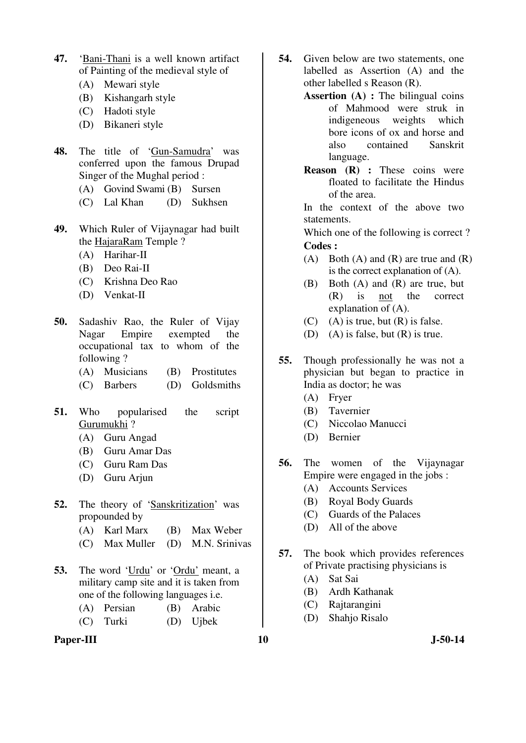- **47.** 'Bani-Thani is a well known artifact of Painting of the medieval style of
	- (A) Mewari style
	- (B) Kishangarh style
	- (C) Hadoti style
	- (D) Bikaneri style
- **48.** The title of 'Gun-Samudra' was conferred upon the famous Drupad Singer of the Mughal period :
	- (A) Govind Swami (B) Sursen
	- (C) Lal Khan (D) Sukhsen
- **49.** Which Ruler of Vijaynagar had built the HajaraRam Temple ?
	- (A) Harihar-II
	- (B) Deo Rai-II
	- (C) Krishna Deo Rao
	- (D) Venkat-II
- **50.** Sadashiv Rao, the Ruler of Vijay Nagar Empire exempted the occupational tax to whom of the following ?
	- (A) Musicians (B) Prostitutes
	- (C) Barbers (D) Goldsmiths
- **51.** Who popularised the script Gurumukhi ?
	- (A) Guru Angad
	- (B) Guru Amar Das
	- (C) Guru Ram Das
	- (D) Guru Arjun
- **52.** The theory of 'Sanskritization' was propounded by
	- (A) Karl Marx (B) Max Weber
	- (C) Max Muller (D) M.N. Srinivas
- **53.** The word 'Urdu' or 'Ordu' meant, a military camp site and it is taken from one of the following languages i.e.
	- (A) Persian (B) Arabic (C) Turki (D) Ujbek
- Paper-III **10** J-50-14
- **54.** Given below are two statements, one labelled as Assertion (A) and the other labelled s Reason (R).
	- **Assertion (A) :** The bilingual coins of Mahmood were struk in indigeneous weights which bore icons of ox and horse and also contained Sanskrit language.
	- **Reason (R) :** These coins were floated to facilitate the Hindus of the area.

 In the context of the above two statements.

 Which one of the following is correct ? **Codes :** 

- (A) Both (A) and (R) are true and  $(R)$ is the correct explanation of (A).
- (B) Both (A) and (R) are true, but (R) is not the correct explanation of (A).
- $(C)$  (A) is true, but  $(R)$  is false.
- (D) (A) is false, but (R) is true.
- **55.** Though professionally he was not a physician but began to practice in India as doctor; he was
	- (A) Fryer
	- (B) Tavernier
	- (C) Niccolao Manucci
	- (D) Bernier
- **56.** The women of the Vijaynagar Empire were engaged in the jobs :
	- (A) Accounts Services
	- (B) Royal Body Guards
	- (C) Guards of the Palaces
	- (D) All of the above
- **57.** The book which provides references of Private practising physicians is
	- (A) Sat Sai
	- (B) Ardh Kathanak
	- (C) Rajtarangini
	- (D) Shahjo Risalo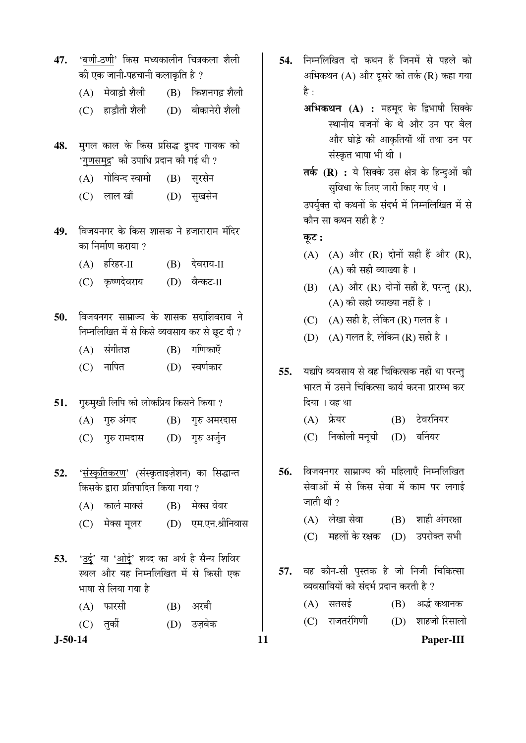- 47. 'बणी-ठणी' किस मध्यकालीन चित्रकला शैली की एक जानी-पहचानी कलाकृति है ?  $(A)$  मेवाड़ी शैली  $(B)$  किशनगढ़ शैली (C) हाड़ौती शैली (D) बीकानेरी शैली 48. मुगल काल के किस प्रसिद्ध द्रुपद गायक को '<u>गुणसमुद्र</u>' की उपाधि प्रदान की गई थी ? (A) गोविन्द स्वामी (B) सुरसेन (C) लाल खाँ (D) सुखसेन
- 49. विजयनगर के किस शासक ने हजाराराम मंदिर का निर्माण कराया  $\imath$ 
	- (A) हरिहर-II (B) देवराय-II
	- (C) कृष्णदेवराय (D) वैन्कट-II
- **50.** विजयनगर साम्राज्य के शासक सदाशिवराव ने निम्नलिखित में से किसे व्यवसाय कर से छूट दी ?
	- $(A)$  संगीतज्ञ  $(B)$  गणिकाएँ
	- (C) ®ÖÖׯ֟Ö (D) þÖÞÖÔÛúÖ¸ü
- **51.** गुरुमुखी लिपि को लोकप्रिय किसने किया ?
	- $(A)$  गुरु अंगद  $(B)$  गुरु अमरदास
	- (C) गुरु रामदास (D) गुरु अर्जुन
- 52. 'संस्कृतिकरण' (संस्कृताइज़ेशन) का सिद्धान्त किसके द्रारा प्रतिपादित किया गया ?
	- $(A)$  कार्ल मार्क्स  $(B)$  मेक्स वेबर
	- (C) मेक्स मूलर (D) एम.एन.श्रीनिवास
- **53.** 'उर्दू' या 'ओर्दू' शब्द का अर्थ है सैन्य शिविर स्थल और यह निम्नलिखित में से किसी एक भाषा से लिया गया है
	- (A) फारसी (B) अरबी
	- (C) तर्को (D) उज़बेक

**J-50-14 11 Paper-III**

- 54. निम्नलिखित दो कथन हैं जिनमें से पहले को अभिकथन  $(A)$  और दूसरे को तर्क  $(R)$  कहा गया है :
	- अभिकथन (A) : महमूद के द्विभाषी सिक्के स्थानीय वजनों के थे और उन पर बैल और घोड़े की आकृतियाँ थीं तथा उन पर संस्कृत भाषा भी थी ।
	- तर्क (R) : ये सिक्के उस क्षेत्र के हिन्दुओं की सुविधा के लिए जारी किए गए थे । उपर्यक्त दो कथनों के संदर्भ में निम्नलिखित में से

कौन सा कथन सही है ?

<u>क</u>ट:

- $(A)$   $(A)$  और  $(R)$  दोनों सही हैं और  $(R)$ , (A) की सही व्याख्या है।
- $(B)$   $(A)$  और  $(R)$  दोनों सही हैं, परन्तु  $(R)$ ,  $(A)$  की सही व्याख्या नहीं है ।
- (C)  $(A)$  सही है, लेकिन (R) गलत है।
- (D)  $(A)$  गलत है, लेकिन (R) सही है।
- **55.** यद्यपि व्यवसाय से वह चिकित्सक नहीं था परन्तु भारत में उसने चिकित्सा कार्य करना प्रारम्भ कर दिया । वह था
	- (A) ±ÏêúµÖ¸ü (B) ™êü¾Ö¸ü×®ÖµÖ¸ü
	- (C) निकोली मनूची (D) बर्नियर
- 56. विजयनगर साम्राज्य की महिलाएँ निम्नलिखित सेवाओं में से किस सेवा में काम पर लगाई जाती थीं  $\overline{?}$ 
	- $(A)$  लेखा सेवा $(B)$  शाही अंगरक्षा (C) महलों के रक्षक (D) उपरोक्त सभी
- **57.** वह कौन-सी पुस्तक है जो निजी चिकित्सा व्यवसायियों को संदर्भ प्रदान करती है ?
	- $(A)$  सतसई  $(B)$  अर्द्ध कथानक
	- $(C)$  राजतरंगिणी  $(D)$  शाहजो रिसालो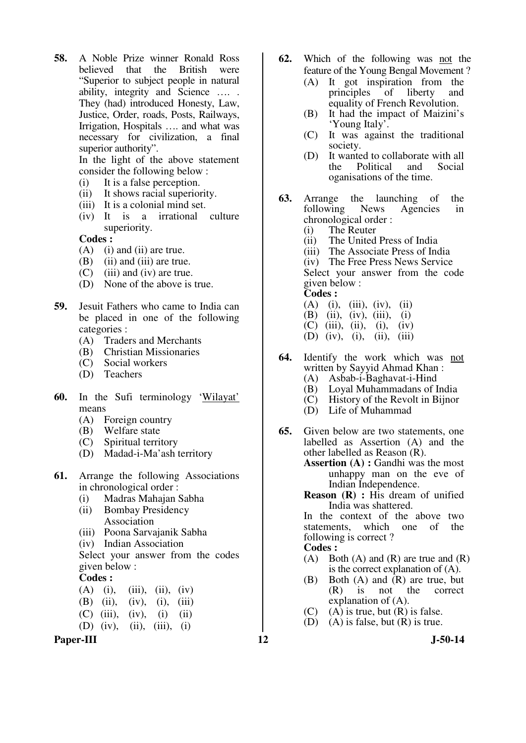**58.** A Noble Prize winner Ronald Ross believed that the British were "Superior to subject people in natural ability, integrity and Science …. . They (had) introduced Honesty, Law, Justice, Order, roads, Posts, Railways, Irrigation, Hospitals …. and what was necessary for civilization, a final superior authority".

 In the light of the above statement consider the following below :

- (i) It is a false perception.
- (ii) It shows racial superiority.
- (iii) It is a colonial mind set.
- (iv) It is a irrational culture superiority.

**Codes :** 

- (A) (i) and (ii) are true.
- (B) (ii) and (iii) are true.
- (C) (iii) and (iv) are true.
- (D) None of the above is true.
- **59.** Jesuit Fathers who came to India can be placed in one of the following categories :
	- (A) Traders and Merchants
	- (B) Christian Missionaries
	- (C) Social workers
	- (D) Teachers
- **60.** In the Sufi terminology 'Wilayat' means
	- (A) Foreign country
	- (B) Welfare state<br>(C) Spiritual terri
	- Spiritual territory
	- (D) Madad-i-Ma'ash territory
- **61.** Arrange the following Associations in chronological order :
	- (i) Madras Mahajan Sabha
	- (ii) Bombay Presidency Association
	- (iii) Poona Sarvajanik Sabha
	- (iv) Indian Association

 Select your answer from the codes given below :

**Codes :** 

|  | $(A)$ (i), (iii), (ii), (iv) |  |
|--|------------------------------|--|
|  | (B) (ii), (iv), (i), (iii)   |  |
|  | (C) (iii), (iv), (i) (ii)    |  |

(D) (iv), (ii), (iii), (i)

Paper-III **12** J-50-14

- **62.** Which of the following was not the feature of the Young Bengal Movement ?
	- (A) It got inspiration from the<br>principles of liberty and principles of liberty and equality of French Revolution.
	- (B) It had the impact of Maizini's 'Young Italy'.
	- (C) It was against the traditional society.
	- (D) It wanted to collaborate with all the Political and Social oganisations of the time.
- **63.** Arrange the launching of the following News Agencies in following News Agencies in chronological order :
	- (i) The Reuter
	- (ii) The United Press of India
	- (iii) The Associate Press of India (iv) The Free Press News Service

 Select your answer from the code given below :

**Codes :** 

- $(A)$  (i), (iii), (iv), (ii)
- (B) (ii), (iv), (iii), (i)
- $(C)$  (iii), (ii), (i), (iv)
- (D) (iv), (i), (ii), (iii)
- **64.** Identify the work which was not written by Sayyid Ahmad Khan :
	- (A) Asbab-i-Baghavat-i-Hind
	- (B) Loyal Muhammadans of India<br>(C) History of the Revolt in Bijnor
	- History of the Revolt in Bijnor
	- (D) Life of Muhammad
- **65.** Given below are two statements, one labelled as Assertion (A) and the other labelled as Reason (R).
	- **Assertion (A) :** Gandhi was the most unhappy man on the eve of Indian Independence.
	- **Reason (R) :** His dream of unified India was shattered.

In the context of the above two<br>statements, which one of the statements, which one of following is correct ?

- **Codes :**
- (A) Both (A) and (R) are true and  $(R)$ is the correct explanation of (A).
- (B) Both (A) and (R) are true, but<br>(R) is not the correct (R) is not the correct explanation of (A).
- $(C)$  (A) is true, but  $(R)$  is false.
- (D) (A) is false, but  $(R)$  is true.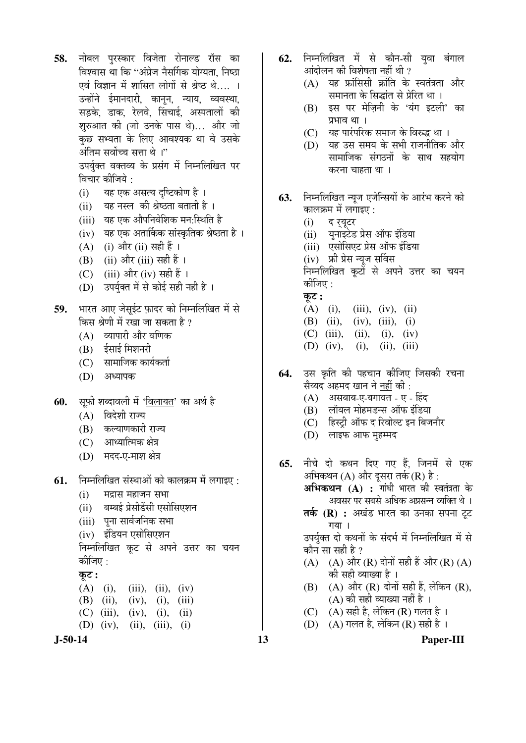- 58. नोबल पुरस्कार विजेता रोनाल्ड रॉस का विश्वास था कि ''अंग्रेज नैर्सागक योग्यता. निष्ठा एवं विज्ञान में शासित लोगों से श्रेष्ठ थे.... । उन्होंने ईमानदारी, कानून, न्याय, व्यवस्था, सडके. डाक. रेलवे. सिंचाई. अस्पतालों की शुरुआत की (जो उनके पास थे)... और जो कुछ सभ्यता के लिए आवश्यक था वे उसके †Ó×ŸÖ´Ö ÃÖ¾ÖÖì""Ö ÃÖ¢ÖÖ £Öê …" उपर्युक्त वक्तव्य के प्रसंग में निम्नलिखित पर विचार कीजिये :
	- (i) यह एक असत्य दृष्टिकोण है ।
	- (ii) यह नस्ल की श्रेष्ठता बताती है।
	- (iii) यह एक औपनिवेशिक मन:स्थिति है
	- (iv) यह एक अतार्किक सांस्कृतिक श्रेष्ठता है ।
	- (A) (i) और (ii) सही हैं ।
	- (B)  $(ii)$  और  $(iii)$  सही हैं ।
	- (C) (iii) और (iv) सही हैं ।
	- (D) उपर्युक्त में से कोई सही नही है ।
- 59. भारत आए जेसुईट फ़ादर को निम्नलिखित में से किस श्रेणी में रखा जा सकता है ?
	- $(A)$  व्यापारी और वणिक
	- $(B)$   $\frac{1}{2}$   $\frac{1}{2}$   $\frac{1}{2}$   $\frac{1}{2}$   $\frac{1}{2}$   $\frac{1}{2}$   $\frac{1}{2}$   $\frac{1}{2}$   $\frac{1}{2}$   $\frac{1}{2}$   $\frac{1}{2}$   $\frac{1}{2}$   $\frac{1}{2}$   $\frac{1}{2}$   $\frac{1}{2}$   $\frac{1}{2}$   $\frac{1}{2}$   $\frac{1}{2}$   $\frac{1}{2}$   $\frac{1}{2}$   $\frac{1}{2}$   $\frac{1}{$
	- $(C)$  सामाजिक कार्यकर्ता
	- (D) अध्यापक
- **60.** सुफी शब्दावली में 'विलायत' का अर्थ है
	- $(A)$  विदेशी राज्य
	- (B) कल्याणकारी राज्य
	- $(C)$  आध्यात्मिक क्षेत्र
	- (D) मदद-ए-माश क्षेत्र
- **61.** निम्नलिखित संस्थाओं को कालक्रम में लगाइए :
	- $(i)$  मद्रास महाजन सभा
	- (ii) बम्बई प्रेसीडेंसी एसोसिएशन
	- (iii) पना सार्वजनिक सभा
	- (iv) इंडियन एसोसिएशन

निम्नलिखित कूट से अपने उत्तर का चयन कीजिए $\cdot$ 

#### $\overline{\phi}$ :

- (A) (i), (iii), (ii), (iv) (B) (ii), (iv), (i), (iii) (C) (iii), (iv), (i), (ii) (D) (iv), (ii), (iii), (i)
- **J-50-14 13 Paper-III**
- 62. निम्नलिखित में से कौन-सी यवा बंगाल आंदोलन की विशेषता नहीं थी ?
	- $(A)$  यह फ्रांसिसी क्रांति के स्वतंत्रता और समानता के सिद्धांत से प्रेरित था ।
	- $(B)$  इस पर मेज़िनी के 'यंग इटली' का प्रभाव था ।
	- $(C)$  यह पारंपरिक समाज के विरुद्ध था ।
	- (D) यह उस समय के सभी राजनीतिक और सामाजिक संगठनों के साथ सहयोग करना चाहता था ।
- **63.** निम्नलिखित न्युज एजेन्सियों के आरंभ करने को कालक्रम में लगाइए $\,$  :
	- (i) द खुटर
	- (ii) युनाइटेड प्रेस ऑफ इंडिया
	- (iii) एसोसिएट प्रेस ऑफ इंडिया
	- (iv) फ्री प्रेस न्यूज सर्विस

निम्नलिखित कूटों से अपने उत्तर का चयन कीजिए :

- कट :
- $(A)$  (i), (iii), (iv), (ii)
- (B) (ii), (iv), (iii), (i)
- $(C)$  (iii), (ii), (iv)
- (D) (iv), (i), (ii), (iii)
- **64.** उस कृति की पहचान कीजिए जिसकी रचना <u>सैय्यद अहमद खान ने नहीं की:</u>
	- (A) असबाब-ए-बगावत ए हिंद
	- $(B)$  लॉयल मोहमडन्स ऑफ इंडिया
	- (C) हिस्टी ऑफ द रिवोल्ट इन बिजनौर
	- (D) लाइफ आफ मुहम्मद
- **65.** नीचे दो कथन दिए गए हैं. जिनमें से एक अभिकथन  $(A)$  और दूसरा तर्क  $(R)$  है : **अभिकथन (A) : गां**धी भारत की स्वतंत्रता के अवसर पर सबसे अधिक अप्रसन्न व्यक्ति थे ।
	- **तर्क (R) :** अखंड भारत का उनका सपना टूट गया ।

उपर्यक्त दो कथनों के संदर्भ में निम्नलिखित में से कौन सा सही है ?

- (A)  $(A)$  और  $(R)$  दोनों सही हैं और  $(R)$   $(A)$ की सही व्याख्या है ।
- $(B)$   $(A)$  और  $(R)$  दोनों सही हैं, लेकिन  $(R)$ ,  $(A)$  की सही व्याख्या नहीं है।
- (C)  $(A)$  सही है, लेकिन (R) गलत है।
- (D)  $(A)$  गलत है, लेकिन (R) सही है ।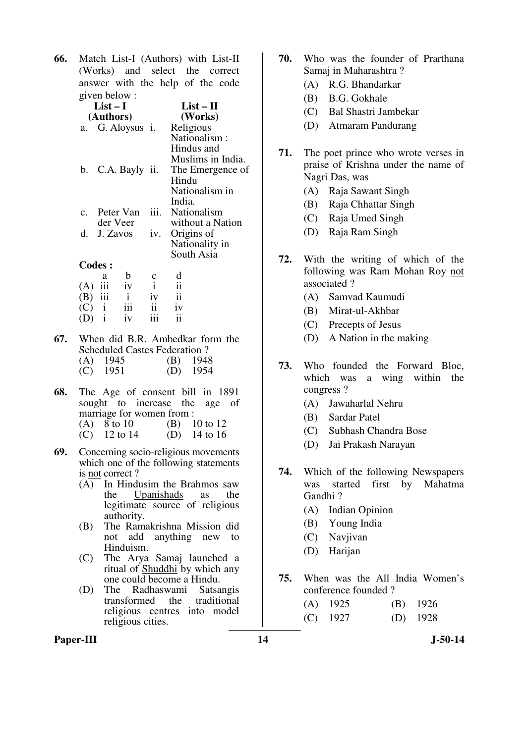**66.** Match List-I (Authors) with List-II (Works) and select the correct answer with the help of the code given below :

| $List-I$<br>(Authors) |      | $List-II$<br>(Works) |
|-----------------------|------|----------------------|
| a. G. Aloysus i.      |      | Religious            |
|                       |      | Nationalism:         |
|                       |      | Hindus and           |
|                       |      | Muslims in India.    |
| b. C.A. Bayly ii.     |      | The Emergence of     |
|                       |      | Hindu                |
|                       |      | Nationalism in       |
|                       |      | India.               |
| c. Peter Van          | iii. | Nationalism          |
| der Veer              |      | without a Nation     |
| d. J. Zavos           | iv.  | Origins of           |
|                       |      | Nationality in       |
|                       |      | South Asia           |
| <b>Codes:</b>         |      |                      |
| ാ                     |      | – d                  |

|           | a | h   | $\mathbf c$   | d  |
|-----------|---|-----|---------------|----|
| $(A)$ iii |   | iv  |               | ii |
| $(B)$ iii |   | i.  | iv            | ii |
| (C)       |   | iii | $\mathbf{ii}$ | iv |
| (D)       | i | iv  | iii           | ii |

- **67.** When did B.R. Ambedkar form the Scheduled Castes Federation ? (A) 1945 (B) 1948<br>
(C) 1951 (D) 1954 (C) 1951 (D) 1954
- **68.** The Age of consent bill in 1891 sought to increase the age of marriage for women from : (A) 8 to 10 (B) 10 to 12<br>(C) 12 to 14 (D) 14 to 16 (C)  $12 \text{ to } 14$  (D)
- **69.** Concerning socio-religious movements which one of the following statements is not correct ?
	- (A) In Hindusim the Brahmos saw the Upanishads as the legitimate source of religious authority.
	- (B) The Ramakrishna Mission did not add anything new to Hinduism.
	- (C) The Arya Samaj launched a ritual of Shuddhi by which any one could become a Hindu.
	- (D) The Radhaswami Satsangis transformed the traditional religious centres into model religious cities.
- **70.** Who was the founder of Prarthana Samaj in Maharashtra ?
	- (A) R.G. Bhandarkar
	- (B) B.G. Gokhale
	- (C) Bal Shastri Jambekar
	- (D) Atmaram Pandurang
- **71.** The poet prince who wrote verses in praise of Krishna under the name of Nagri Das, was
	- (A) Raja Sawant Singh
	- (B) Raja Chhattar Singh
	- (C) Raja Umed Singh
	- (D) Raja Ram Singh
- **72.** With the writing of which of the following was Ram Mohan Roy not associated ?
	- (A) Samvad Kaumudi
	- (B) Mirat-ul-Akhbar
	- (C) Precepts of Jesus
	- (D) A Nation in the making
- **73.** Who founded the Forward Bloc, which was a wing within the congress ?
	- (A) Jawaharlal Nehru
	- (B) Sardar Patel
	- (C) Subhash Chandra Bose
	- (D) Jai Prakash Narayan
- **74.** Which of the following Newspapers was started first by Mahatma Gandhi ?
	- (A) Indian Opinion
	- (B) Young India
	- (C) Navjivan
	- (D) Harijan
- **75.** When was the All India Women's conference founded ?

 (A) 1925 (B) 1926 (C) 1927 (D) 1928

Paper-III **14** J-50-14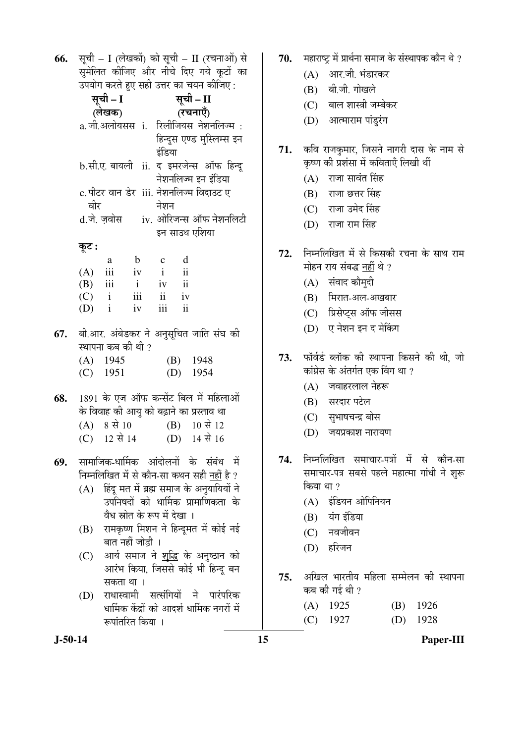**66.** सूची – I (लेखकों) को सूची – II (रचनाओं) से समेलित कीजिए और नीचे दिए गये कटों का  $\overline{z}$ ualu aya au wal  $\overline{z}$ ay an  $\overline{z}$ a albu $\cdot$ 

|     |                                                  |                                                                                                                                      |              |                                         |                          | $\sim$ and the set of $\sim$ and $\sim$ and $\sim$ and $\sim$ and $\sim$ |  |  |
|-----|--------------------------------------------------|--------------------------------------------------------------------------------------------------------------------------------------|--------------|-----------------------------------------|--------------------------|--------------------------------------------------------------------------|--|--|
|     |                                                  | सूची – I<br>(लेखक)                                                                                                                   |              |                                         | सूची – II                |                                                                          |  |  |
|     |                                                  |                                                                                                                                      |              | (रचनाएँ)                                |                          |                                                                          |  |  |
|     |                                                  |                                                                                                                                      |              |                                         |                          | a.जी.अलोयसस <b>ां. रिलीजियस नेशनलिज्म</b> ः                              |  |  |
|     |                                                  |                                                                                                                                      |              |                                         |                          | हिन्दूस एण्ड मुस्लिम्स इन                                                |  |  |
|     |                                                  |                                                                                                                                      |              | इंडिया                                  |                          |                                                                          |  |  |
|     |                                                  |                                                                                                                                      |              |                                         |                          | b.सी.ए. बायली ii. द इमरजेन्स ऑफ हिन्दू                                   |  |  |
|     |                                                  |                                                                                                                                      |              |                                         |                          | नेशनलिज्म इन इंडिया                                                      |  |  |
|     |                                                  |                                                                                                                                      |              | c.पीटर वान डेर  iii. नेशनलिज्म विदाउट ए |                          |                                                                          |  |  |
|     | वीर                                              |                                                                                                                                      |              | नेशन                                    |                          |                                                                          |  |  |
|     |                                                  |                                                                                                                                      |              |                                         |                          | d.जे. ज़वोस iv. ओरिजन्स ऑफ नेशनलिटी                                      |  |  |
|     |                                                  |                                                                                                                                      |              |                                         |                          | इन साउथ एशिया                                                            |  |  |
|     | कूट :                                            |                                                                                                                                      |              |                                         |                          |                                                                          |  |  |
|     |                                                  | a                                                                                                                                    | $\mathbf{b}$ | $\mathbf{c}$                            | d                        |                                                                          |  |  |
|     |                                                  | $(A)$ iii iv                                                                                                                         |              | $\mathbf{i}$                            | $\overline{\textbf{ii}}$ |                                                                          |  |  |
|     |                                                  | $(B)$ iii i                                                                                                                          |              | $iv$ $ii$                               |                          |                                                                          |  |  |
|     |                                                  | $(C)$ i iii                                                                                                                          |              | ii iv                                   |                          |                                                                          |  |  |
|     | $(D)$ i                                          |                                                                                                                                      | iv           | iii                                     | ii                       |                                                                          |  |  |
|     |                                                  |                                                                                                                                      |              |                                         |                          |                                                                          |  |  |
|     |                                                  |                                                                                                                                      |              |                                         |                          | 67.   बी.आर. अंबेडकर ने अनुसूचित जाति संघ की                             |  |  |
|     |                                                  | स्थापना कब की थी ?                                                                                                                   |              |                                         |                          |                                                                          |  |  |
|     |                                                  | $(A)$ 1945                                                                                                                           |              |                                         |                          | $(B)$ 1948                                                               |  |  |
|     |                                                  | $(C)$ 1951                                                                                                                           |              |                                         |                          | $(D)$ 1954                                                               |  |  |
|     |                                                  |                                                                                                                                      |              |                                         |                          |                                                                          |  |  |
| 68. |                                                  |                                                                                                                                      |              |                                         |                          | 1891 के एज ऑफ कन्सेंट बिल में महिलाओं                                    |  |  |
|     |                                                  |                                                                                                                                      |              |                                         |                          | के विवाह की आयु को बढ़ाने का प्रस्ताव था                                 |  |  |
|     |                                                  | $(A) 8 \nexists 10$                                                                                                                  |              |                                         |                          | $(B)$ 10 से 12                                                           |  |  |
|     |                                                  |                                                                                                                                      |              |                                         |                          | (C) $12 \pi 14$ (D) $14 \pi 16$                                          |  |  |
|     |                                                  |                                                                                                                                      |              |                                         |                          |                                                                          |  |  |
| 69. |                                                  |                                                                                                                                      |              |                                         |                          | सामाजिक-धार्मिक आंदोलनों के संबंध में                                    |  |  |
|     |                                                  |                                                                                                                                      |              |                                         |                          | निम्नलिखित में से कौन-सा कथन सही <u>नहीं</u> है ?                        |  |  |
|     | हिंदू मत में ब्रह्म समाज के अनुयायियों ने<br>(A) |                                                                                                                                      |              |                                         |                          |                                                                          |  |  |
|     |                                                  | उपनिषदों को धार्मिक प्रामाणिकता के<br>वैध स्रोत के रूप में देखा ।<br>रामकृष्ण मिशन ने हिन्दूमत में कोई नई<br>(B)<br>बात नहीं जोड़ी । |              |                                         |                          |                                                                          |  |  |
|     |                                                  |                                                                                                                                      |              |                                         |                          |                                                                          |  |  |
|     |                                                  |                                                                                                                                      |              |                                         |                          |                                                                          |  |  |
|     |                                                  |                                                                                                                                      |              |                                         |                          |                                                                          |  |  |
|     |                                                  |                                                                                                                                      |              |                                         |                          | आर्य समाज ने <u>शुद्धि</u> के अनुष्ठान को                                |  |  |
|     | (C)                                              |                                                                                                                                      |              |                                         |                          |                                                                          |  |  |
|     |                                                  |                                                                                                                                      |              |                                         |                          | आरंभ किया, जिससे कोई भी हिन्दू बन                                        |  |  |
|     |                                                  | सकता था ।                                                                                                                            |              |                                         |                          |                                                                          |  |  |

(D) राधास्वामी सत्संगियों ने पारंपरिक धार्मिक केंद्रों को आदर्श धार्मिक नगरों में रूपांतरित किया ।

- 70. महाराष्ट्र में प्रार्थना समाज के संस्थापक कौन थे ?
	- $(A)$  आर.जी. भंडारकर
	- (B) बी.जी. गोखले
	- (C) बाल शास्त्री जम्बेकर
	- (D) आत्माराम पांडूरंग
- 71. कवि राजकुमार, जिसने नागरी दास के नाम से कृष्ण की प्रशंसा में कविताएँ लिखी थीं
	- $(A)$  राजा सावंत सिंह
	- $(B)$  राजा छत्तर सिंह
	- (C) राजा उमेद सिंह
	- (D) राजा राम सिंह
- 72. निम्नलिखित में से किसकी रचना के साथ राम मोहन राय संबद्ध नहीं थे ?
	- $(A)$  संवाद कौमुदी
	- (B) मिरात-अल-अखबार
	- (C) प्रिसेप्ट्स ऑफ जीसस
	- (D) ए नेशन इन द मेकिंग
- 73. फॉर्वर्ड ब्लॉक की स्थापना किसने की थी, जो कांग्रेस के अंतर्गत एक विंग था ?
	- $(A)$  जवाहरलाल नेहरू
	- (B) सरदार पटेल
	- (C) सुभाषचन्द्र बोस
	- $(D)$  जयप्रकाश नारायण
- 74. निम्नलिखित समाचार-पत्रों में से कौन-सा समाचार-पत्र सबसे पहले महात्मा गांधी ने शुरू किया था ?
	- $(A)$  इंडियन ओपिनियन
	- (B) यंग इंडिया
	- $(C)$  नवजीवन
	- (D) हरिजन
- 75. अखिल भारतीय महिला सम्मेलन की स्थापना कब $\pi$ को गई थी ?

| $(A)$ 1925 | $(B)$ 1926 |
|------------|------------|
| $(C)$ 1927 | $(D)$ 1928 |

**J-50-14 15 Paper-III**